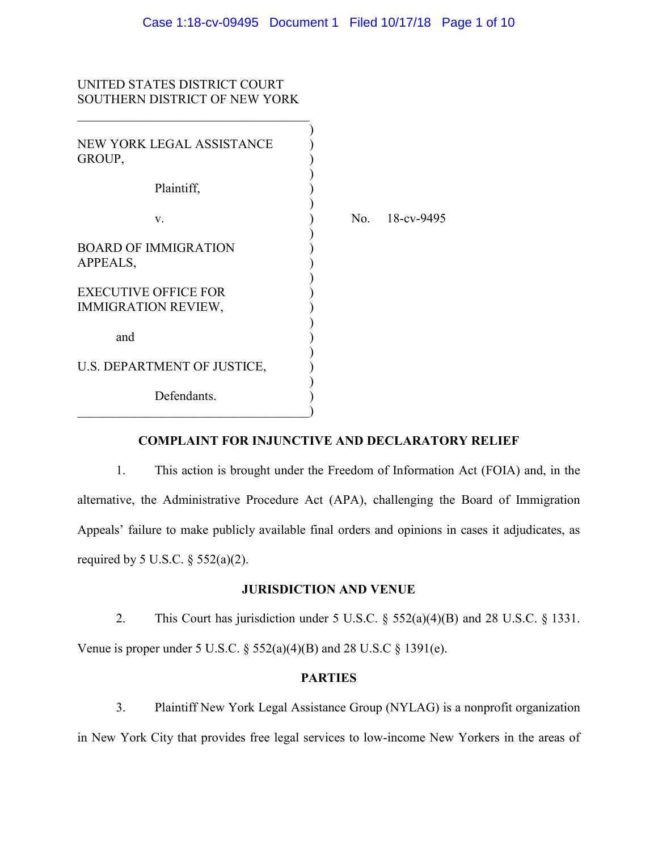# UNITED STATES DISTRICT COURT SOUTHERN DISTRICT OF NEW YORK

| NEW YORK LEGAL ASSISTANCE<br>GROUP,                       |     |            |
|-----------------------------------------------------------|-----|------------|
| Plaintiff,                                                |     |            |
| V.                                                        | No. | 18-cv-9495 |
| <b>BOARD OF IMMIGRATION</b><br>APPEALS,                   |     |            |
| <b>EXECUTIVE OFFICE FOR</b><br><b>IMMIGRATION REVIEW,</b> |     |            |
| and                                                       |     |            |
| U.S. DEPARTMENT OF JUSTICE,                               |     |            |
| Defendants.                                               |     |            |

# **COMPLAINT FOR INJUNCTIVE AND DECLARATORY RELIEF**

1. This action is brought under the Freedom of Information Act (FOIA) and, in the alternative, the Administrative Procedure Act (APA), challenging the Board of Immigration Appeals' failure to make publicly available final orders and opinions in cases it adjudicates, as required by 5 U.S.C.  $\S$  552(a)(2).

## **JURISDICTION AND VENUE**

2. This Court has jurisdiction under 5 U.S.C. § 552(a)(4)(B) and 28 U.S.C. § 1331. Venue is proper under 5 U.S.C.  $\S 552(a)(4)(B)$  and 28 U.S.C  $\S 1391(e)$ .

### **PARTIES**

3. Plaintiff New York Legal Assistance Group (NYLAG) is a nonprofit organization in New York City that provides free legal services to low-income New Yorkers in the areas of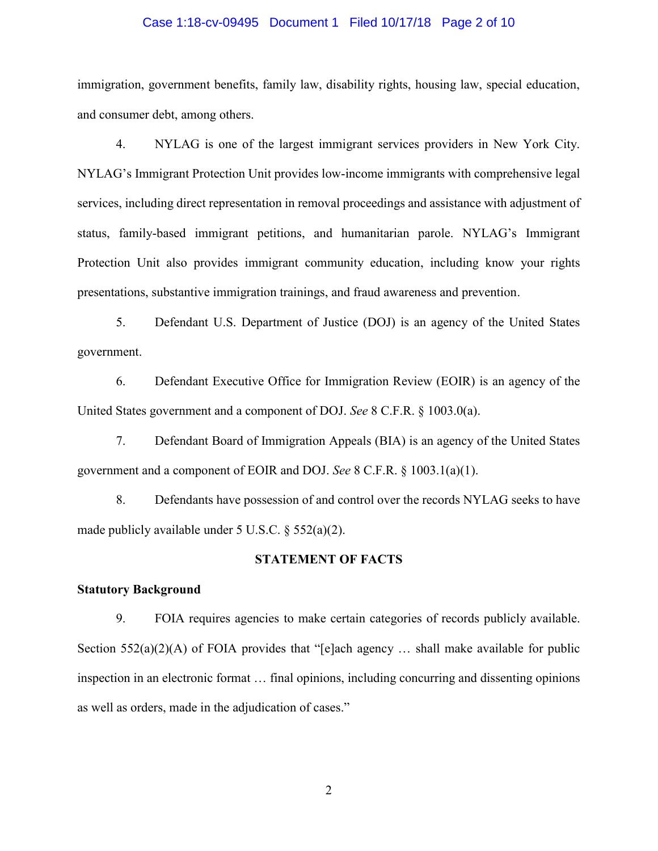## Case 1:18-cv-09495 Document 1 Filed 10/17/18 Page 2 of 10

immigration, government benefits, family law, disability rights, housing law, special education, and consumer debt, among others.

4. NYLAG is one of the largest immigrant services providers in New York City. NYLAG's Immigrant Protection Unit provides low-income immigrants with comprehensive legal services, including direct representation in removal proceedings and assistance with adjustment of status, family-based immigrant petitions, and humanitarian parole. NYLAG's Immigrant Protection Unit also provides immigrant community education, including know your rights presentations, substantive immigration trainings, and fraud awareness and prevention.

5. Defendant U.S. Department of Justice (DOJ) is an agency of the United States government.

6. Defendant Executive Office for Immigration Review (EOIR) is an agency of the United States government and a component of DOJ. *See* 8 C.F.R. § 1003.0(a).

7. Defendant Board of Immigration Appeals (BIA) is an agency of the United States government and a component of EOIR and DOJ. *See* 8 C.F.R. § 1003.1(a)(1).

8. Defendants have possession of and control over the records NYLAG seeks to have made publicly available under 5 U.S.C. § 552(a)(2).

### **STATEMENT OF FACTS**

## **Statutory Background**

9. FOIA requires agencies to make certain categories of records publicly available. Section  $552(a)(2)(A)$  of FOIA provides that "[e]ach agency ... shall make available for public inspection in an electronic format … final opinions, including concurring and dissenting opinions as well as orders, made in the adjudication of cases."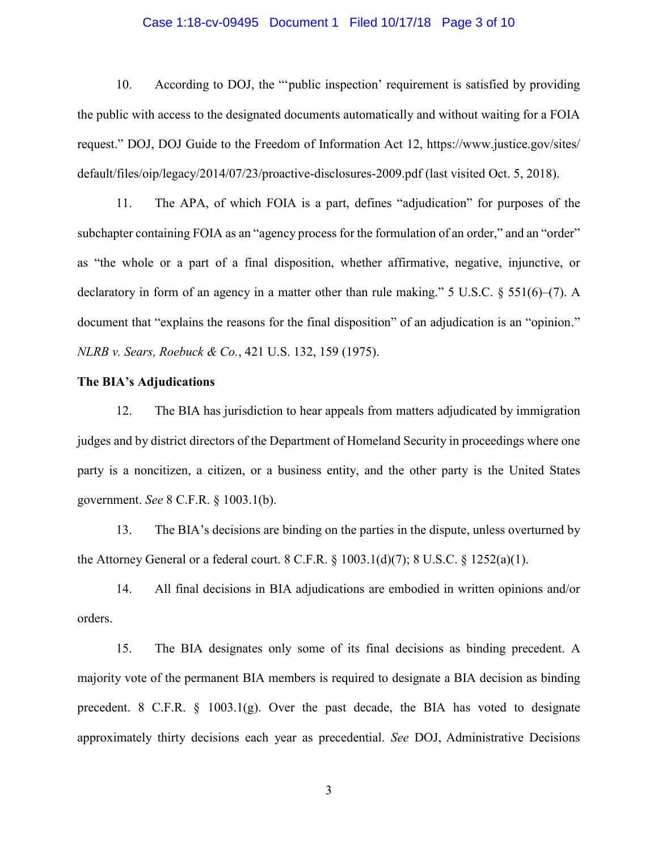## Case 1:18-cv-09495 Document 1 Filed 10/17/18 Page 3 of 10

10. According to DOJ, the "'public inspection' requirement is satisfied by providing the public with access to the designated documents automatically and without waiting for a FOIA request." DOJ, DOJ Guide to the Freedom of Information Act 12, https://www.justice.gov/sites/ default/files/oip/legacy/2014/07/23/proactive-disclosures-2009.pdf (last visited Oct. 5, 2018).

11. The APA, of which FOIA is a part, defines "adjudication" for purposes of the subchapter containing FOIA as an "agency process for the formulation of an order," and an "order" as "the whole or a part of a final disposition, whether affirmative, negative, injunctive, or declaratory in form of an agency in a matter other than rule making." 5 U.S.C.  $\S$  551(6)–(7). A document that "explains the reasons for the final disposition" of an adjudication is an "opinion." *NLRB v. Sears, Roebuck & Co.*, 421 U.S. 132, 159 (1975).

## **The BIA's Adjudications**

12. The BIA has jurisdiction to hear appeals from matters adjudicated by immigration judges and by district directors of the Department of Homeland Security in proceedings where one party is a noncitizen, a citizen, or a business entity, and the other party is the United States government. *See* 8 C.F.R. § 1003.1(b).

13. The BIA's decisions are binding on the parties in the dispute, unless overturned by the Attorney General or a federal court. 8 C.F.R. § 1003.1(d)(7); 8 U.S.C. § 1252(a)(1).

14. All final decisions in BIA adjudications are embodied in written opinions and/or orders.

15. The BIA designates only some of its final decisions as binding precedent. A majority vote of the permanent BIA members is required to designate a BIA decision as binding precedent. 8 C.F.R.  $\S$  1003.1(g). Over the past decade, the BIA has voted to designate approximately thirty decisions each year as precedential. *See* DOJ, Administrative Decisions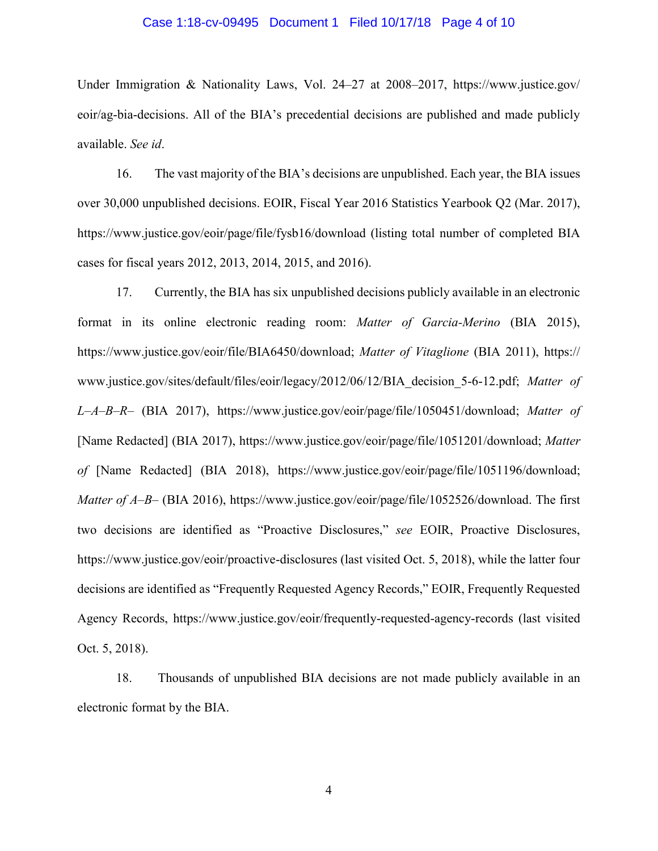## Case 1:18-cv-09495 Document 1 Filed 10/17/18 Page 4 of 10

Under Immigration & Nationality Laws, Vol. 24–27 at 2008–2017, https://www.justice.gov/ eoir/ag-bia-decisions. All of the BIA's precedential decisions are published and made publicly available. *See id*.

16. The vast majority of the BIA's decisions are unpublished. Each year, the BIA issues over 30,000 unpublished decisions. EOIR, Fiscal Year 2016 Statistics Yearbook Q2 (Mar. 2017), https://www.justice.gov/eoir/page/file/fysb16/download (listing total number of completed BIA cases for fiscal years 2012, 2013, 2014, 2015, and 2016).

17. Currently, the BIA has six unpublished decisions publicly available in an electronic format in its online electronic reading room: *Matter of Garcia-Merino* (BIA 2015), https://www.justice.gov/eoir/file/BIA6450/download; *Matter of Vitaglione* (BIA 2011), https:// www.justice.gov/sites/default/files/eoir/legacy/2012/06/12/BIA\_decision\_5-6-12.pdf; *Matter of L–A–B–R–* (BIA 2017), https://www.justice.gov/eoir/page/file/1050451/download; *Matter of* [Name Redacted] (BIA 2017), https://www.justice.gov/eoir/page/file/1051201/download; *Matter of* [Name Redacted] (BIA 2018), https://www.justice.gov/eoir/page/file/1051196/download; *Matter of A–B–* (BIA 2016), https://www.justice.gov/eoir/page/file/1052526/download. The first two decisions are identified as "Proactive Disclosures," *see* EOIR, Proactive Disclosures, <https://www.justice.gov/eoir/proactive-disclosures> (last visited Oct. 5, 2018), while the latter four decisions are identified as "Frequently Requested Agency Records," EOIR, Frequently Requested Agency Records,<https://www.justice.gov/eoir/frequently-requested-agency-records> (last visited Oct. 5, 2018).

18. Thousands of unpublished BIA decisions are not made publicly available in an electronic format by the BIA.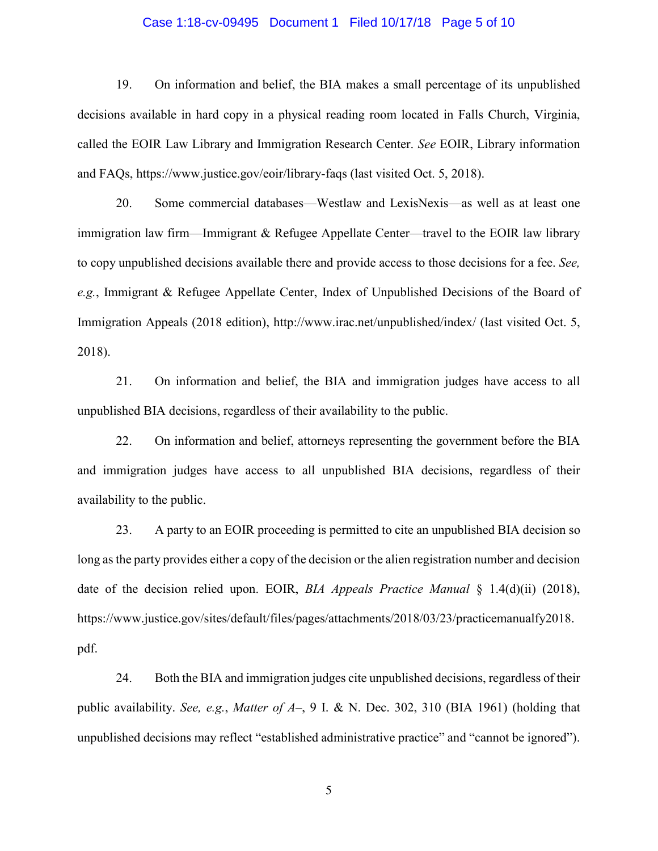#### Case 1:18-cv-09495 Document 1 Filed 10/17/18 Page 5 of 10

19. On information and belief, the BIA makes a small percentage of its unpublished decisions available in hard copy in a physical reading room located in Falls Church, Virginia, called the EOIR Law Library and Immigration Research Center. *See* EOIR, Library information and FAQs, https://www.justice.gov/eoir/library-faqs (last visited Oct. 5, 2018).

20. Some commercial databases—Westlaw and LexisNexis—as well as at least one immigration law firm—Immigrant & Refugee Appellate Center—travel to the EOIR law library to copy unpublished decisions available there and provide access to those decisions for a fee. *See, e.g.*, Immigrant & Refugee Appellate Center, Index of Unpublished Decisions of the Board of Immigration Appeals (2018 edition), http://www.irac.net/unpublished/index/ (last visited Oct. 5, 2018).

21. On information and belief, the BIA and immigration judges have access to all unpublished BIA decisions, regardless of their availability to the public.

22. On information and belief, attorneys representing the government before the BIA and immigration judges have access to all unpublished BIA decisions, regardless of their availability to the public.

23. A party to an EOIR proceeding is permitted to cite an unpublished BIA decision so long as the party provides either a copy of the decision or the alien registration number and decision date of the decision relied upon. EOIR, *BIA Appeals Practice Manual* § 1.4(d)(ii) (2018), https://www.justice.gov/sites/default/files/pages/attachments/2018/03/23/practicemanualfy2018. pdf.

24. Both the BIA and immigration judges cite unpublished decisions, regardless of their public availability. *See, e.g.*, *Matter of A–*, 9 I. & N. Dec. 302, 310 (BIA 1961) (holding that unpublished decisions may reflect "established administrative practice" and "cannot be ignored").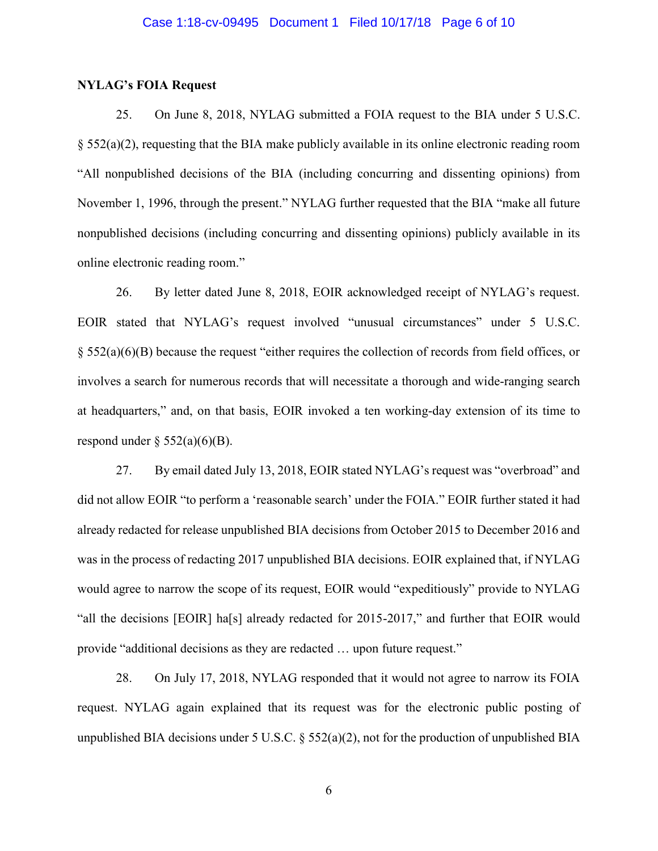## **NYLAG's FOIA Request**

25. On June 8, 2018, NYLAG submitted a FOIA request to the BIA under 5 U.S.C. § 552(a)(2), requesting that the BIA make publicly available in its online electronic reading room "All nonpublished decisions of the BIA (including concurring and dissenting opinions) from November 1, 1996, through the present." NYLAG further requested that the BIA "make all future nonpublished decisions (including concurring and dissenting opinions) publicly available in its online electronic reading room."

26. By letter dated June 8, 2018, EOIR acknowledged receipt of NYLAG's request. EOIR stated that NYLAG's request involved "unusual circumstances" under 5 U.S.C. § 552(a)(6)(B) because the request "either requires the collection of records from field offices, or involves a search for numerous records that will necessitate a thorough and wide-ranging search at headquarters," and, on that basis, EOIR invoked a ten working-day extension of its time to respond under  $\S$  552(a)(6)(B).

27. By email dated July 13, 2018, EOIR stated NYLAG's request was "overbroad" and did not allow EOIR "to perform a 'reasonable search' under the FOIA." EOIR further stated it had already redacted for release unpublished BIA decisions from October 2015 to December 2016 and was in the process of redacting 2017 unpublished BIA decisions. EOIR explained that, if NYLAG would agree to narrow the scope of its request, EOIR would "expeditiously" provide to NYLAG "all the decisions [EOIR] ha[s] already redacted for 2015-2017," and further that EOIR would provide "additional decisions as they are redacted … upon future request."

28. On July 17, 2018, NYLAG responded that it would not agree to narrow its FOIA request. NYLAG again explained that its request was for the electronic public posting of unpublished BIA decisions under 5 U.S.C. § 552(a)(2), not for the production of unpublished BIA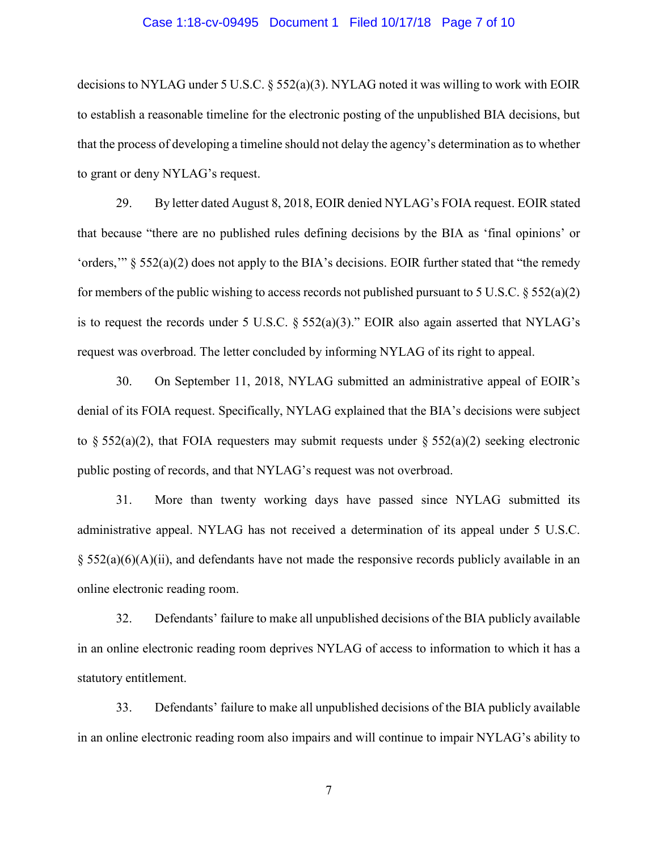## Case 1:18-cv-09495 Document 1 Filed 10/17/18 Page 7 of 10

decisions to NYLAG under 5 U.S.C. § 552(a)(3). NYLAG noted it was willing to work with EOIR to establish a reasonable timeline for the electronic posting of the unpublished BIA decisions, but that the process of developing a timeline should not delay the agency's determination as to whether to grant or deny NYLAG's request.

29. By letter dated August 8, 2018, EOIR denied NYLAG's FOIA request. EOIR stated that because "there are no published rules defining decisions by the BIA as 'final opinions' or 'orders,'" § 552(a)(2) does not apply to the BIA's decisions. EOIR further stated that "the remedy for members of the public wishing to access records not published pursuant to 5 U.S.C.  $\S 552(a)(2)$ is to request the records under 5 U.S.C.  $\S$  552(a)(3)." EOIR also again asserted that NYLAG's request was overbroad. The letter concluded by informing NYLAG of its right to appeal.

30. On September 11, 2018, NYLAG submitted an administrative appeal of EOIR's denial of its FOIA request. Specifically, NYLAG explained that the BIA's decisions were subject to § 552(a)(2), that FOIA requesters may submit requests under § 552(a)(2) seeking electronic public posting of records, and that NYLAG's request was not overbroad.

31. More than twenty working days have passed since NYLAG submitted its administrative appeal. NYLAG has not received a determination of its appeal under 5 U.S.C.  $\S$  552(a)(6)(A)(ii), and defendants have not made the responsive records publicly available in an online electronic reading room.

32. Defendants' failure to make all unpublished decisions of the BIA publicly available in an online electronic reading room deprives NYLAG of access to information to which it has a statutory entitlement.

33. Defendants' failure to make all unpublished decisions of the BIA publicly available in an online electronic reading room also impairs and will continue to impair NYLAG's ability to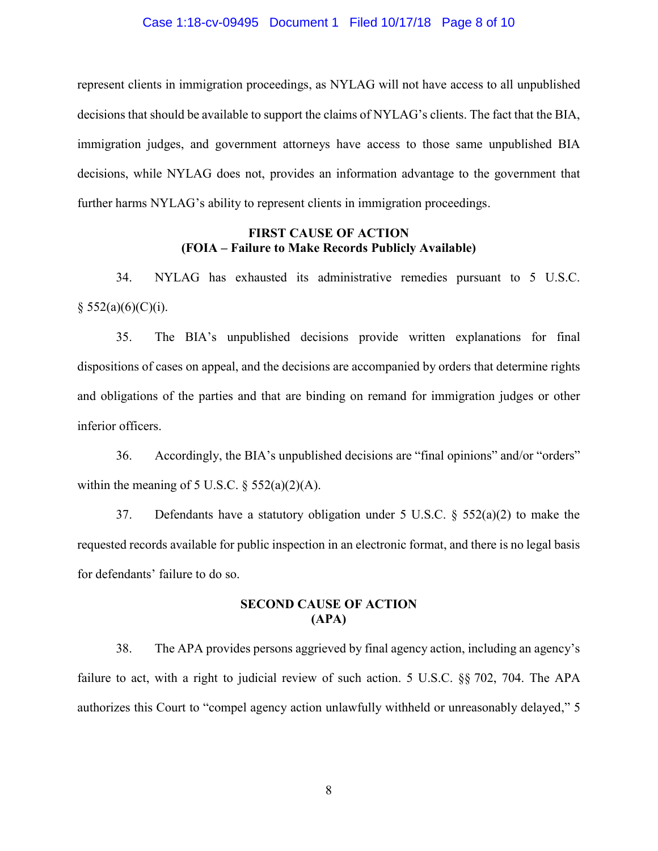## Case 1:18-cv-09495 Document 1 Filed 10/17/18 Page 8 of 10

represent clients in immigration proceedings, as NYLAG will not have access to all unpublished decisions that should be available to support the claims of NYLAG's clients. The fact that the BIA, immigration judges, and government attorneys have access to those same unpublished BIA decisions, while NYLAG does not, provides an information advantage to the government that further harms NYLAG's ability to represent clients in immigration proceedings.

## **FIRST CAUSE OF ACTION (FOIA – Failure to Make Records Publicly Available)**

34. NYLAG has exhausted its administrative remedies pursuant to 5 U.S.C.  $§ 552(a)(6)(C)(i).$ 

35. The BIA's unpublished decisions provide written explanations for final dispositions of cases on appeal, and the decisions are accompanied by orders that determine rights and obligations of the parties and that are binding on remand for immigration judges or other inferior officers.

36. Accordingly, the BIA's unpublished decisions are "final opinions" and/or "orders" within the meaning of 5 U.S.C.  $\frac{552(a)(2)(A)}{A}$ .

37. Defendants have a statutory obligation under 5 U.S.C. § 552(a)(2) to make the requested records available for public inspection in an electronic format, and there is no legal basis for defendants' failure to do so.

## **SECOND CAUSE OF ACTION (APA)**

38. The APA provides persons aggrieved by final agency action, including an agency's failure to act, with a right to judicial review of such action. 5 U.S.C. §§ 702, 704. The APA authorizes this Court to "compel agency action unlawfully withheld or unreasonably delayed," 5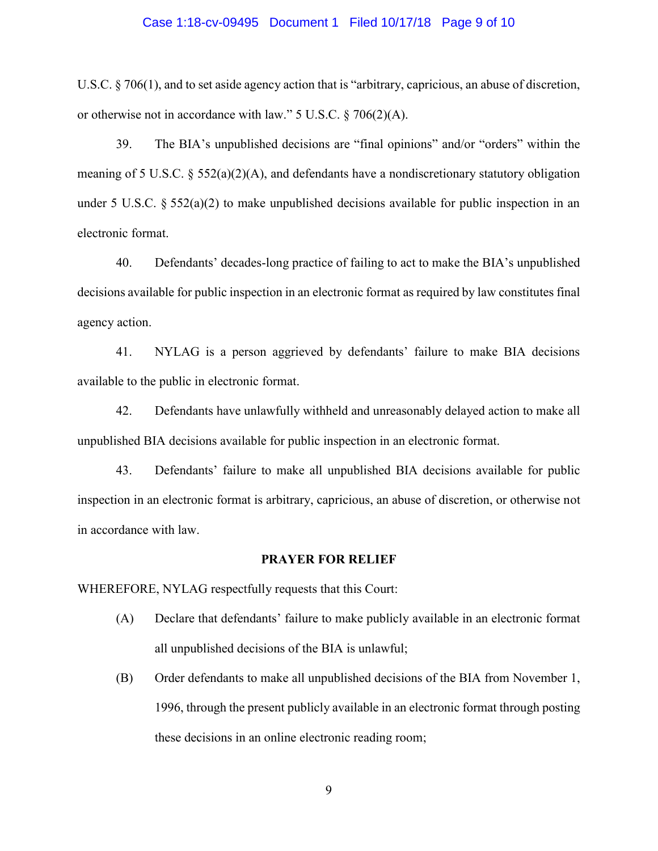## Case 1:18-cv-09495 Document 1 Filed 10/17/18 Page 9 of 10

U.S.C. § 706(1), and to set aside agency action that is "arbitrary, capricious, an abuse of discretion, or otherwise not in accordance with law." 5 U.S.C. § 706(2)(A).

39. The BIA's unpublished decisions are "final opinions" and/or "orders" within the meaning of 5 U.S.C.  $\S 552(a)(2)(A)$ , and defendants have a nondiscretionary statutory obligation under 5 U.S.C.  $\S 552(a)(2)$  to make unpublished decisions available for public inspection in an electronic format.

40. Defendants' decades-long practice of failing to act to make the BIA's unpublished decisions available for public inspection in an electronic format as required by law constitutes final agency action.

41. NYLAG is a person aggrieved by defendants' failure to make BIA decisions available to the public in electronic format.

42. Defendants have unlawfully withheld and unreasonably delayed action to make all unpublished BIA decisions available for public inspection in an electronic format.

43. Defendants' failure to make all unpublished BIA decisions available for public inspection in an electronic format is arbitrary, capricious, an abuse of discretion, or otherwise not in accordance with law.

### **PRAYER FOR RELIEF**

WHEREFORE, NYLAG respectfully requests that this Court:

- (A) Declare that defendants' failure to make publicly available in an electronic format all unpublished decisions of the BIA is unlawful;
- (B) Order defendants to make all unpublished decisions of the BIA from November 1, 1996, through the present publicly available in an electronic format through posting these decisions in an online electronic reading room;